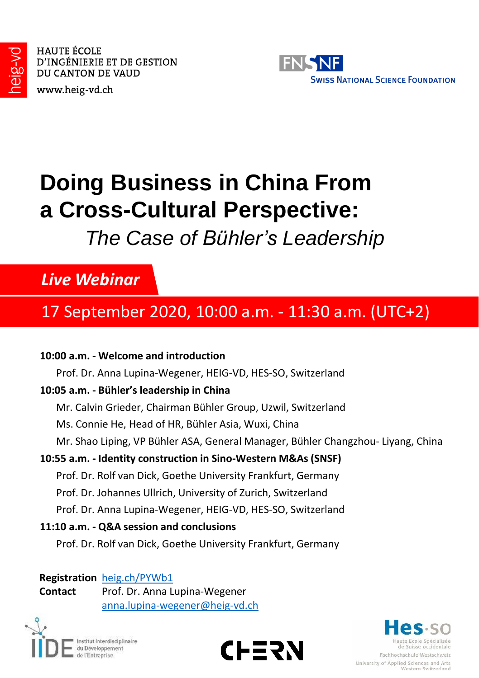

HAUTE ÉCOLE D'INGÉNIERIE ET DE GESTION DU CANTON DE VAUD

www.heig-vd.ch



# **Doing Business in China From a Cross-Cultural Perspective:**

## *The Case of Bühler's Leadership*

### *Live Webinar*

### 17 September 2020, 10:00 a.m. - 11:30 a.m. (UTC+2)

#### **10:00 a.m. - Welcome and introduction**

Prof. Dr. Anna Lupina-Wegener, HEIG-VD, HES-SO, Switzerland

#### **10:05 a.m. - Bühler's leadership in China**

- Mr. Calvin Grieder, Chairman Bühler Group, Uzwil, Switzerland
- Ms. Connie He, Head of HR, Bühler Asia, Wuxi, China
- Mr. Shao Liping, VP Bühler ASA, General Manager, Bühler Changzhou- Liyang, China

#### **10:55 a.m. - Identity construction in Sino-Western M&As (SNSF)**

- Prof. Dr. Rolf van Dick, Goethe University Frankfurt, Germany
- Prof. Dr. Johannes Ullrich, University of Zurich, Switzerland
- Prof. Dr. Anna Lupina-Wegener, HEIG-VD, HES-SO, Switzerland

#### **11:10 a.m. - Q&A session and conclusions**

Prof. Dr. Rolf van Dick, Goethe University Frankfurt, Germany

#### **Registration** [heig.ch/PYWb1](https://heig.ch/PYWb1)

**Contact** Prof. Dr. Anna Lupina-Wegener [anna.lupina-wegener@heig-vd.ch](mailto:anna.Lupina-Wegener@heig-vd.ch)